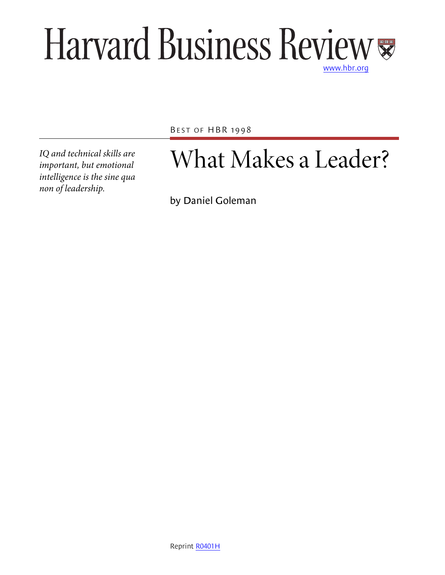# Harvard Business Review [www.hbr.org](http://www.hbr.org)

BEST OF HBR 1998

*IQ and technical skills are important, but emotional intelligence is the sine qua non of leadership.*

# What Makes a Leader?

by Daniel Goleman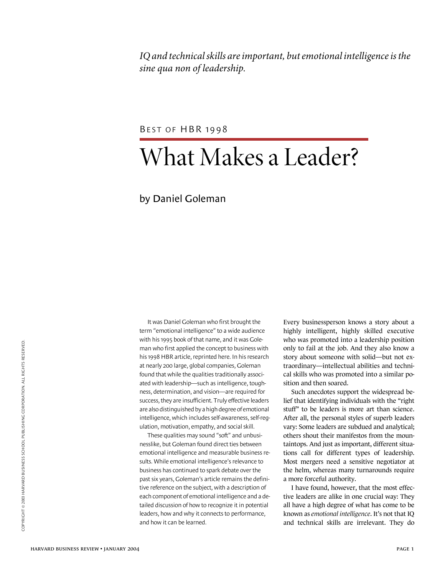*IQ and technical skills are important, but emotional intelligence is the sine qua non of leadership.*

BEST OF HBR 1998

# What Makes a Leader?

by Daniel Goleman

It was Daniel Goleman who first brought the term "emotional intelligence" to a wide audience with his 1995 book of that name, and it was Goleman who first applied the concept to business with his 1998 HBR article, reprinted here. In his research at nearly 200 large, global companies, Goleman found that while the qualities traditionally associated with leadership—such as intelligence, toughness, determination, and vision—are required for success, they are insufficient. Truly effective leaders are also distinguished by a high degree of emotional intelligence, which includes self-awareness, self-regulation, motivation, empathy, and social skill.

These qualities may sound "soft" and unbusinesslike, but Goleman found direct ties between emotional intelligence and measurable business results. While emotional intelligence's relevance to business has continued to spark debate over the past six years, Goleman's article remains the definitive reference on the subject, with a description of each component of emotional intelligence and a detailed discussion of how to recognize it in potential leaders, how and why it connects to performance, and how it can be learned.

Every businessperson knows a story about a highly intelligent, highly skilled executive who was promoted into a leadership position only to fail at the job. And they also know a story about someone with solid—but not extraordinary—intellectual abilities and technical skills who was promoted into a similar position and then soared.

Such anecdotes support the widespread belief that identifying individuals with the "right stuff" to be leaders is more art than science. After all, the personal styles of superb leaders vary: Some leaders are subdued and analytical; others shout their manifestos from the mountaintops. And just as important, different situations call for different types of leadership. Most mergers need a sensitive negotiator at the helm, whereas many turnarounds require a more forceful authority.

I have found, however, that the most effective leaders are alike in one crucial way: They all have a high degree of what has come to be known as *emotional intelligence*. It's not that IQ and technical skills are irrelevant. They do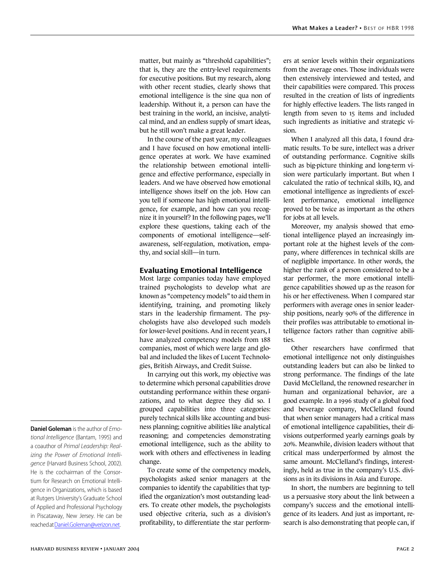matter, but mainly as "threshold capabilities"; that is, they are the entry-level requirements for executive positions. But my research, along with other recent studies, clearly shows that emotional intelligence is the sine qua non of leadership. Without it, a person can have the best training in the world, an incisive, analytical mind, and an endless supply of smart ideas, but he still won't make a great leader.

In the course of the past year, my colleagues and I have focused on how emotional intelligence operates at work. We have examined the relationship between emotional intelligence and effective performance, especially in leaders. And we have observed how emotional intelligence shows itself on the job. How can you tell if someone has high emotional intelligence, for example, and how can you recognize it in yourself? In the following pages, we'll explore these questions, taking each of the components of emotional intelligence—selfawareness, self-regulation, motivation, empathy, and social skill—in turn.

#### **Evaluating Emotional Intelligence**

Most large companies today have employed trained psychologists to develop what are known as "competency models" to aid them in identifying, training, and promoting likely stars in the leadership firmament. The psychologists have also developed such models for lower-level positions. And in recent years, I have analyzed competency models from 188 companies, most of which were large and global and included the likes of Lucent Technologies, British Airways, and Credit Suisse.

In carrying out this work, my objective was to determine which personal capabilities drove outstanding performance within these organizations, and to what degree they did so. I grouped capabilities into three categories: purely technical skills like accounting and business planning; cognitive abilities like analytical reasoning; and competencies demonstrating emotional intelligence, such as the ability to work with others and effectiveness in leading change.

To create some of the competency models, psychologists asked senior managers at the companies to identify the capabilities that typified the organization's most outstanding leaders. To create other models, the psychologists used objective criteria, such as a division's profitability, to differentiate the star performers at senior levels within their organizations from the average ones. Those individuals were then extensively interviewed and tested, and their capabilities were compared. This process resulted in the creation of lists of ingredients for highly effective leaders. The lists ranged in length from seven to 15 items and included such ingredients as initiative and strategic vision.

When I analyzed all this data, I found dramatic results. To be sure, intellect was a driver of outstanding performance. Cognitive skills such as big-picture thinking and long-term vision were particularly important. But when I calculated the ratio of technical skills, IQ, and emotional intelligence as ingredients of excellent performance, emotional intelligence proved to be twice as important as the others for jobs at all levels.

Moreover, my analysis showed that emotional intelligence played an increasingly important role at the highest levels of the company, where differences in technical skills are of negligible importance. In other words, the higher the rank of a person considered to be a star performer, the more emotional intelligence capabilities showed up as the reason for his or her effectiveness. When I compared star performers with average ones in senior leadership positions, nearly 90% of the difference in their profiles was attributable to emotional intelligence factors rather than cognitive abilities.

Other researchers have confirmed that emotional intelligence not only distinguishes outstanding leaders but can also be linked to strong performance. The findings of the late David McClelland, the renowned researcher in human and organizational behavior, are a good example. In a 1996 study of a global food and beverage company, McClelland found that when senior managers had a critical mass of emotional intelligence capabilities, their divisions outperformed yearly earnings goals by 20%. Meanwhile, division leaders without that critical mass underperformed by almost the same amount. McClelland's findings, interestingly, held as true in the company's U.S. divisions as in its divisions in Asia and Europe.

In short, the numbers are beginning to tell us a persuasive story about the link between a company's success and the emotional intelligence of its leaders. And just as important, research is also demonstrating that people can, if

**Daniel Goleman** is the author of Emotional Intelligence (Bantam, 1995) and a coauthor of Primal Leadership: Realizing the Power of Emotional Intelligence (Harvard Business School, 2002). He is the cochairman of the Consortium for Research on Emotional Intelligence in Organizations, which is based at Rutgers University's Graduate School of Applied and Professional Psychology in Piscataway, New Jersey. He can be reached at [Daniel.Goleman@verizon.net.](mailto:Daniel.Goleman@verizon.net)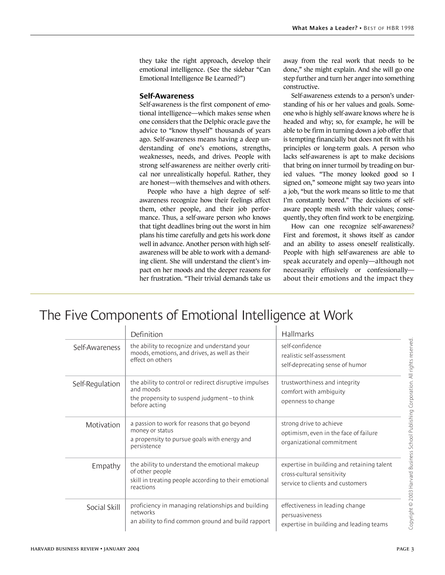they take the right approach, develop their emotional intelligence. (See the sidebar "Can Emotional Intelligence Be Learned?")

### **Self-Awareness**

Self-awareness is the first component of emotional intelligence—which makes sense when one considers that the Delphic oracle gave the advice to "know thyself" thousands of years ago. Self-awareness means having a deep understanding of one's emotions, strengths, weaknesses, needs, and drives. People with strong self-awareness are neither overly critical nor unrealistically hopeful. Rather, they are honest—with themselves and with others.

People who have a high degree of selfawareness recognize how their feelings affect them, other people, and their job performance. Thus, a self-aware person who knows that tight deadlines bring out the worst in him plans his time carefully and gets his work done well in advance. Another person with high selfawareness will be able to work with a demanding client. She will understand the client's impact on her moods and the deeper reasons for her frustration. "Their trivial demands take us away from the real work that needs to be done," she might explain. And she will go one step further and turn her anger into something constructive.

Self-awareness extends to a person's understanding of his or her values and goals. Someone who is highly self-aware knows where he is headed and why; so, for example, he will be able to be firm in turning down a job offer that is tempting financially but does not fit with his principles or long-term goals. A person who lacks self-awareness is apt to make decisions that bring on inner turmoil by treading on buried values. "The money looked good so I signed on," someone might say two years into a job, "but the work means so little to me that I'm constantly bored." The decisions of selfaware people mesh with their values; consequently, they often find work to be energizing.

How can one recognize self-awareness? First and foremost, it shows itself as candor and an ability to assess oneself realistically. People with high self-awareness are able to speak accurately and openly—although not necessarily effusively or confessionally about their emotions and the impact they

## The Five Components of Emotional Intelligence at Work

|                 | Definition                                                                                                                              | <b>Hallmarks</b>                                                                                             |
|-----------------|-----------------------------------------------------------------------------------------------------------------------------------------|--------------------------------------------------------------------------------------------------------------|
| Self-Awareness  | the ability to recognize and understand your<br>moods, emotions, and drives, as well as their<br>effect on others                       | self-confidence<br>realistic self-assessment<br>self-deprecating sense of humor                              |
| Self-Regulation | the ability to control or redirect disruptive impulses<br>and moods<br>the propensity to suspend judgment-to think<br>before acting     | trustworthiness and integrity<br>comfort with ambiguity<br>openness to change                                |
| Motivation      | a passion to work for reasons that go beyond<br>money or status<br>a propensity to pursue goals with energy and<br>persistence          | strong drive to achieve<br>optimism, even in the face of failure<br>organizational commitment                |
| Empathy         | the ability to understand the emotional makeup<br>of other people<br>skill in treating people according to their emotional<br>reactions | expertise in building and retaining talent<br>cross-cultural sensitivity<br>service to clients and customers |
| Social Skill    | proficiency in managing relationships and building<br>networks<br>an ability to find common ground and build rapport                    | effectiveness in leading change<br>persuasiveness<br>expertise in building and leading teams                 |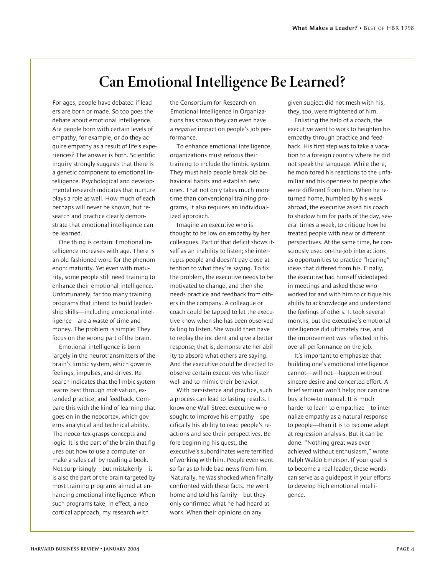# **Can Emotional Intelligence Be Learned?**

For ages, people have debated if leaders are born or made. So too goes the debate about emotional intelligence. Are people born with certain levels of empathy, for example, or do they acquire empathy as a result of life's experiences? The answer is both. Scientific inquiry strongly suggests that there is a genetic component to emotional intelligence. Psychological and developmental research indicates that nurture plays a role as well. How much of each perhaps will never be known, but research and practice clearly demonstrate that emotional intelligence can be learned.

One thing is certain: Emotional intelligence increases with age. There is an old-fashioned word for the phenomenon: maturity. Yet even with maturity, some people still need training to enhance their emotional intelligence. Unfortunately, far too many training programs that intend to build leadership skills—including emotional intelligence—are a waste of time and money. The problem is simple: They focus on the wrong part of the brain.

Emotional intelligence is born largely in the neurotransmitters of the brain's limbic system, which governs feelings, impulses, and drives. Research indicates that the limbic system learns best through motivation, extended practice, and feedback. Compare this with the kind of learning that goes on in the neocortex, which governs analytical and technical ability. The neocortex grasps concepts and logic. It is the part of the brain that figures out how to use a computer or make a sales call by reading a book. Not surprisingly—but mistakenly—it is also the part of the brain targeted by most training programs aimed at enhancing emotional intelligence. When such programs take, in effect, a neocortical approach, my research with

the Consortium for Research on Emotional Intelligence in Organizations has shown they can even have a *negative* impact on people's job performance.

To enhance emotional intelligence, organizations must refocus their training to include the limbic system. They must help people break old behavioral habits and establish new ones. That not only takes much more time than conventional training programs, it also requires an individualized approach.

Imagine an executive who is thought to be low on empathy by her colleagues. Part of that deficit shows itself as an inability to listen; she interrupts people and doesn't pay close attention to what they're saying. To fix the problem, the executive needs to be motivated to change, and then she needs practice and feedback from others in the company. A colleague or coach could be tapped to let the executive know when she has been observed failing to listen. She would then have to replay the incident and give a better response; that is, demonstrate her ability to absorb what others are saying. And the executive could be directed to observe certain executives who listen well and to mimic their behavior.

With persistence and practice, such a process can lead to lasting results. I know one Wall Street executive who sought to improve his empathy—specifically his ability to read people's reactions and see their perspectives. Before beginning his quest, the executive's subordinates were terrified of working with him. People even went so far as to hide bad news from him. Naturally, he was shocked when finally confronted with these facts. He went home and told his family—but they only confirmed what he had heard at work. When their opinions on any

given subject did not mesh with his, they, too, were frightened of him.

Enlisting the help of a coach, the executive went to work to heighten his empathy through practice and feedback. His first step was to take a vacation to a foreign country where he did not speak the language. While there, he monitored his reactions to the unfamiliar and his openness to people who were different from him. When he returned home, humbled by his week abroad, the executive asked his coach to shadow him for parts of the day, several times a week, to critique how he treated people with new or different perspectives. At the same time, he consciously used on-the-job interactions as opportunities to practice "hearing" ideas that differed from his. Finally, the executive had himself videotaped in meetings and asked those who worked for and with him to critique his ability to acknowledge and understand the feelings of others. It took several months, but the executive's emotional intelligence did ultimately rise, and the improvement was reflected in his overall performance on the job.

It's important to emphasize that building one's emotional intelligence cannot—will not—happen without sincere desire and concerted effort. A brief seminar won't help; nor can one buy a how-to manual. It is much harder to learn to empathize—to internalize empathy as a natural response to people—than it is to become adept at regression analysis. But it can be done. "Nothing great was ever achieved without enthusiasm," wrote Ralph Waldo Emerson. If your goal is to become a real leader, these words can serve as a guidepost in your efforts to develop high emotional intelligence.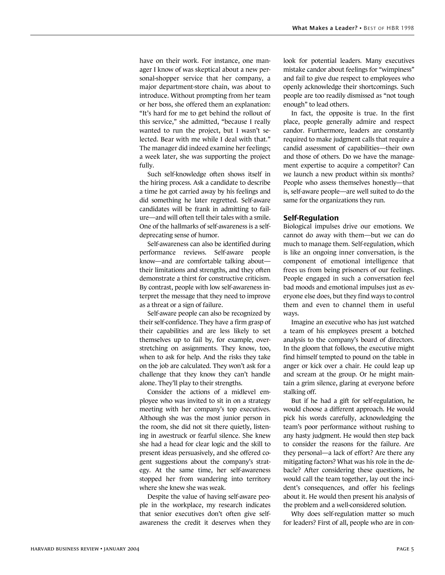have on their work. For instance, one manager I know of was skeptical about a new personal-shopper service that her company, a major department-store chain, was about to introduce. Without prompting from her team or her boss, she offered them an explanation: "It's hard for me to get behind the rollout of this service," she admitted, "because I really wanted to run the project, but I wasn't selected. Bear with me while I deal with that." The manager did indeed examine her feelings; a week later, she was supporting the project fully.

Such self-knowledge often shows itself in the hiring process. Ask a candidate to describe a time he got carried away by his feelings and did something he later regretted. Self-aware candidates will be frank in admitting to failure—and will often tell their tales with a smile. One of the hallmarks of self-awareness is a selfdeprecating sense of humor.

Self-awareness can also be identified during performance reviews. Self-aware people know—and are comfortable talking about their limitations and strengths, and they often demonstrate a thirst for constructive criticism. By contrast, people with low self-awareness interpret the message that they need to improve as a threat or a sign of failure.

Self-aware people can also be recognized by their self-confidence. They have a firm grasp of their capabilities and are less likely to set themselves up to fail by, for example, overstretching on assignments. They know, too, when to ask for help. And the risks they take on the job are calculated. They won't ask for a challenge that they know they can't handle alone. They'll play to their strengths.

Consider the actions of a midlevel employee who was invited to sit in on a strategy meeting with her company's top executives. Although she was the most junior person in the room, she did not sit there quietly, listening in awestruck or fearful silence. She knew she had a head for clear logic and the skill to present ideas persuasively, and she offered cogent suggestions about the company's strategy. At the same time, her self-awareness stopped her from wandering into territory where she knew she was weak.

Despite the value of having self-aware people in the workplace, my research indicates that senior executives don't often give selfawareness the credit it deserves when they

look for potential leaders. Many executives mistake candor about feelings for "wimpiness" and fail to give due respect to employees who openly acknowledge their shortcomings. Such people are too readily dismissed as "not tough enough" to lead others.

In fact, the opposite is true. In the first place, people generally admire and respect candor. Furthermore, leaders are constantly required to make judgment calls that require a candid assessment of capabilities—their own and those of others. Do we have the management expertise to acquire a competitor? Can we launch a new product within six months? People who assess themselves honestly—that is, self-aware people—are well suited to do the same for the organizations they run.

#### **Self-Regulation**

Biological impulses drive our emotions. We cannot do away with them—but we can do much to manage them. Self-regulation, which is like an ongoing inner conversation, is the component of emotional intelligence that frees us from being prisoners of our feelings. People engaged in such a conversation feel bad moods and emotional impulses just as everyone else does, but they find ways to control them and even to channel them in useful ways.

Imagine an executive who has just watched a team of his employees present a botched analysis to the company's board of directors. In the gloom that follows, the executive might find himself tempted to pound on the table in anger or kick over a chair. He could leap up and scream at the group. Or he might maintain a grim silence, glaring at everyone before stalking off.

But if he had a gift for self-regulation, he would choose a different approach. He would pick his words carefully, acknowledging the team's poor performance without rushing to any hasty judgment. He would then step back to consider the reasons for the failure. Are they personal—a lack of effort? Are there any mitigating factors? What was his role in the debacle? After considering these questions, he would call the team together, lay out the incident's consequences, and offer his feelings about it. He would then present his analysis of the problem and a well-considered solution.

Why does self-regulation matter so much for leaders? First of all, people who are in con-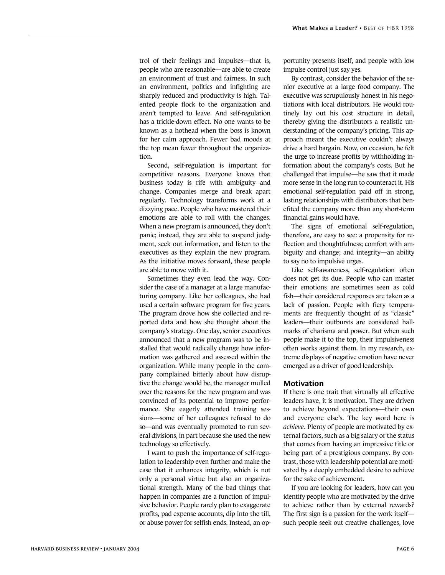trol of their feelings and impulses—that is, people who are reasonable—are able to create an environment of trust and fairness. In such an environment, politics and infighting are sharply reduced and productivity is high. Talented people flock to the organization and aren't tempted to leave. And self-regulation has a trickle-down effect. No one wants to be known as a hothead when the boss is known for her calm approach. Fewer bad moods at the top mean fewer throughout the organization.

Second, self-regulation is important for competitive reasons. Everyone knows that business today is rife with ambiguity and change. Companies merge and break apart regularly. Technology transforms work at a dizzying pace. People who have mastered their emotions are able to roll with the changes. When a new program is announced, they don't panic; instead, they are able to suspend judgment, seek out information, and listen to the executives as they explain the new program. As the initiative moves forward, these people are able to move with it.

Sometimes they even lead the way. Consider the case of a manager at a large manufacturing company. Like her colleagues, she had used a certain software program for five years. The program drove how she collected and reported data and how she thought about the company's strategy. One day, senior executives announced that a new program was to be installed that would radically change how information was gathered and assessed within the organization. While many people in the company complained bitterly about how disruptive the change would be, the manager mulled over the reasons for the new program and was convinced of its potential to improve performance. She eagerly attended training sessions—some of her colleagues refused to do so—and was eventually promoted to run several divisions, in part because she used the new technology so effectively.

I want to push the importance of self-regulation to leadership even further and make the case that it enhances integrity, which is not only a personal virtue but also an organizational strength. Many of the bad things that happen in companies are a function of impulsive behavior. People rarely plan to exaggerate profits, pad expense accounts, dip into the till, or abuse power for selfish ends. Instead, an op-

portunity presents itself, and people with low impulse control just say yes.

By contrast, consider the behavior of the senior executive at a large food company. The executive was scrupulously honest in his negotiations with local distributors. He would routinely lay out his cost structure in detail, thereby giving the distributors a realistic understanding of the company's pricing. This approach meant the executive couldn't always drive a hard bargain. Now, on occasion, he felt the urge to increase profits by withholding information about the company's costs. But he challenged that impulse—he saw that it made more sense in the long run to counteract it. His emotional self-regulation paid off in strong, lasting relationships with distributors that benefited the company more than any short-term financial gains would have.

The signs of emotional self-regulation, therefore, are easy to see: a propensity for reflection and thoughtfulness; comfort with ambiguity and change; and integrity—an ability to say no to impulsive urges.

Like self-awareness, self-regulation often does not get its due. People who can master their emotions are sometimes seen as cold fish—their considered responses are taken as a lack of passion. People with fiery temperaments are frequently thought of as "classic" leaders—their outbursts are considered hallmarks of charisma and power. But when such people make it to the top, their impulsiveness often works against them. In my research, extreme displays of negative emotion have never emerged as a driver of good leadership.

### **Motivation**

If there is one trait that virtually all effective leaders have, it is motivation. They are driven to achieve beyond expectations—their own and everyone else's. The key word here is *achieve*. Plenty of people are motivated by external factors, such as a big salary or the status that comes from having an impressive title or being part of a prestigious company. By contrast, those with leadership potential are motivated by a deeply embedded desire to achieve for the sake of achievement.

If you are looking for leaders, how can you identify people who are motivated by the drive to achieve rather than by external rewards? The first sign is a passion for the work itself such people seek out creative challenges, love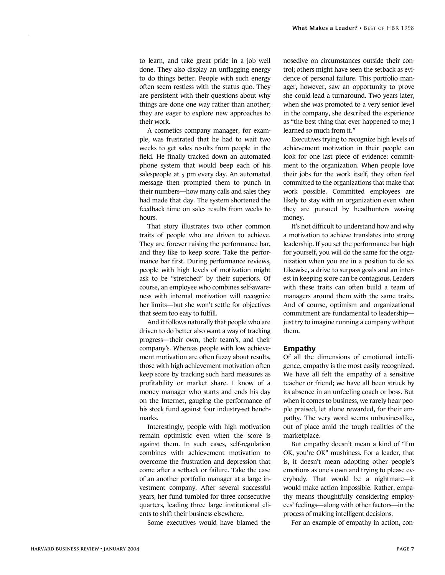to learn, and take great pride in a job well done. They also display an unflagging energy to do things better. People with such energy often seem restless with the status quo. They are persistent with their questions about why things are done one way rather than another; they are eager to explore new approaches to their work.

A cosmetics company manager, for example, was frustrated that he had to wait two weeks to get sales results from people in the field. He finally tracked down an automated phone system that would beep each of his salespeople at 5 pm every day. An automated message then prompted them to punch in their numbers—how many calls and sales they had made that day. The system shortened the feedback time on sales results from weeks to hours.

That story illustrates two other common traits of people who are driven to achieve. They are forever raising the performance bar, and they like to keep score. Take the performance bar first. During performance reviews, people with high levels of motivation might ask to be "stretched" by their superiors. Of course, an employee who combines self-awareness with internal motivation will recognize her limits—but she won't settle for objectives that seem too easy to fulfill.

And it follows naturally that people who are driven to do better also want a way of tracking progress—their own, their team's, and their company's. Whereas people with low achievement motivation are often fuzzy about results, those with high achievement motivation often keep score by tracking such hard measures as profitability or market share. I know of a money manager who starts and ends his day on the Internet, gauging the performance of his stock fund against four industry-set benchmarks.

Interestingly, people with high motivation remain optimistic even when the score is against them. In such cases, self-regulation combines with achievement motivation to overcome the frustration and depression that come after a setback or failure. Take the case of an another portfolio manager at a large investment company. After several successful years, her fund tumbled for three consecutive quarters, leading three large institutional clients to shift their business elsewhere.

Some executives would have blamed the

nosedive on circumstances outside their control; others might have seen the setback as evidence of personal failure. This portfolio manager, however, saw an opportunity to prove she could lead a turnaround. Two years later, when she was promoted to a very senior level in the company, she described the experience as "the best thing that ever happened to me; I learned so much from it."

Executives trying to recognize high levels of achievement motivation in their people can look for one last piece of evidence: commitment to the organization. When people love their jobs for the work itself, they often feel committed to the organizations that make that work possible. Committed employees are likely to stay with an organization even when they are pursued by headhunters waving money.

It's not difficult to understand how and why a motivation to achieve translates into strong leadership. If you set the performance bar high for yourself, you will do the same for the organization when you are in a position to do so. Likewise, a drive to surpass goals and an interest in keeping score can be contagious. Leaders with these traits can often build a team of managers around them with the same traits. And of course, optimism and organizational commitment are fundamental to leadership just try to imagine running a company without them.

#### **Empathy**

Of all the dimensions of emotional intelligence, empathy is the most easily recognized. We have all felt the empathy of a sensitive teacher or friend; we have all been struck by its absence in an unfeeling coach or boss. But when it comes to business, we rarely hear people praised, let alone rewarded, for their empathy. The very word seems unbusinesslike, out of place amid the tough realities of the marketplace.

But empathy doesn't mean a kind of "I'm OK, you're OK" mushiness. For a leader, that is, it doesn't mean adopting other people's emotions as one's own and trying to please everybody. That would be a nightmare—it would make action impossible. Rather, empathy means thoughtfully considering employees' feelings—along with other factors—in the process of making intelligent decisions.

For an example of empathy in action, con-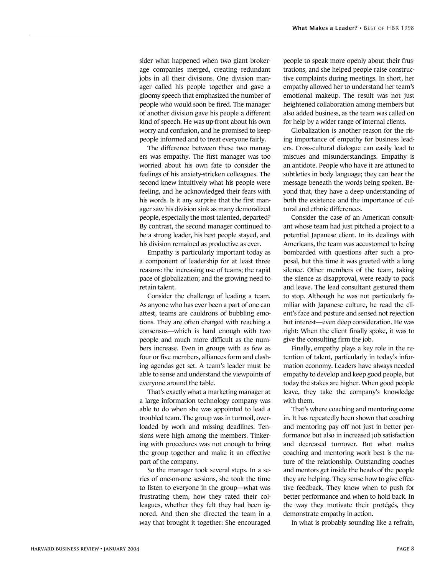sider what happened when two giant brokerage companies merged, creating redundant jobs in all their divisions. One division manager called his people together and gave a gloomy speech that emphasized the number of people who would soon be fired. The manager of another division gave his people a different kind of speech. He was up-front about his own worry and confusion, and he promised to keep people informed and to treat everyone fairly.

The difference between these two managers was empathy. The first manager was too worried about his own fate to consider the feelings of his anxiety-stricken colleagues. The second knew intuitively what his people were feeling, and he acknowledged their fears with his words. Is it any surprise that the first manager saw his division sink as many demoralized people, especially the most talented, departed? By contrast, the second manager continued to be a strong leader, his best people stayed, and his division remained as productive as ever.

Empathy is particularly important today as a component of leadership for at least three reasons: the increasing use of teams; the rapid pace of globalization; and the growing need to retain talent.

Consider the challenge of leading a team. As anyone who has ever been a part of one can attest, teams are cauldrons of bubbling emotions. They are often charged with reaching a consensus—which is hard enough with two people and much more difficult as the numbers increase. Even in groups with as few as four or five members, alliances form and clashing agendas get set. A team's leader must be able to sense and understand the viewpoints of everyone around the table.

That's exactly what a marketing manager at a large information technology company was able to do when she was appointed to lead a troubled team. The group was in turmoil, overloaded by work and missing deadlines. Tensions were high among the members. Tinkering with procedures was not enough to bring the group together and make it an effective part of the company.

So the manager took several steps. In a series of one-on-one sessions, she took the time to listen to everyone in the group—what was frustrating them, how they rated their colleagues, whether they felt they had been ignored. And then she directed the team in a way that brought it together: She encouraged

people to speak more openly about their frustrations, and she helped people raise constructive complaints during meetings. In short, her empathy allowed her to understand her team's emotional makeup. The result was not just heightened collaboration among members but also added business, as the team was called on for help by a wider range of internal clients.

Globalization is another reason for the rising importance of empathy for business leaders. Cross-cultural dialogue can easily lead to miscues and misunderstandings. Empathy is an antidote. People who have it are attuned to subtleties in body language; they can hear the message beneath the words being spoken. Beyond that, they have a deep understanding of both the existence and the importance of cultural and ethnic differences.

Consider the case of an American consultant whose team had just pitched a project to a potential Japanese client. In its dealings with Americans, the team was accustomed to being bombarded with questions after such a proposal, but this time it was greeted with a long silence. Other members of the team, taking the silence as disapproval, were ready to pack and leave. The lead consultant gestured them to stop. Although he was not particularly familiar with Japanese culture, he read the client's face and posture and sensed not rejection but interest—even deep consideration. He was right: When the client finally spoke, it was to give the consulting firm the job.

Finally, empathy plays a key role in the retention of talent, particularly in today's information economy. Leaders have always needed empathy to develop and keep good people, but today the stakes are higher. When good people leave, they take the company's knowledge with them.

That's where coaching and mentoring come in. It has repeatedly been shown that coaching and mentoring pay off not just in better performance but also in increased job satisfaction and decreased turnover. But what makes coaching and mentoring work best is the nature of the relationship. Outstanding coaches and mentors get inside the heads of the people they are helping. They sense how to give effective feedback. They know when to push for better performance and when to hold back. In the way they motivate their protégés, they demonstrate empathy in action.

In what is probably sounding like a refrain,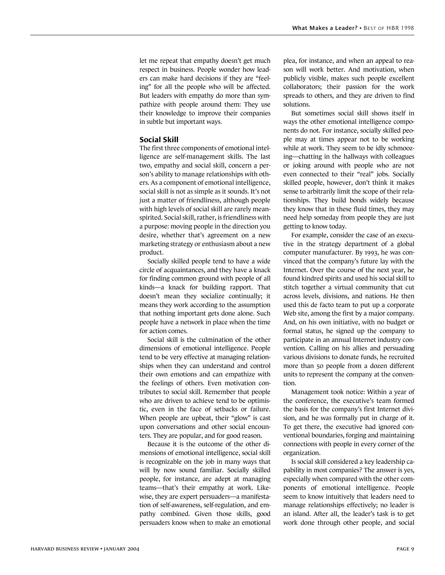let me repeat that empathy doesn't get much respect in business. People wonder how leaders can make hard decisions if they are "feeling" for all the people who will be affected. But leaders with empathy do more than sympathize with people around them: They use their knowledge to improve their companies in subtle but important ways.

#### **Social Skill**

The first three components of emotional intelligence are self-management skills. The last two, empathy and social skill, concern a person's ability to manage relationships with others. As a component of emotional intelligence, social skill is not as simple as it sounds. It's not just a matter of friendliness, although people with high levels of social skill are rarely meanspirited. Social skill, rather, is friendliness with a purpose: moving people in the direction you desire, whether that's agreement on a new marketing strategy or enthusiasm about a new product.

Socially skilled people tend to have a wide circle of acquaintances, and they have a knack for finding common ground with people of all kinds—a knack for building rapport. That doesn't mean they socialize continually; it means they work according to the assumption that nothing important gets done alone. Such people have a network in place when the time for action comes.

Social skill is the culmination of the other dimensions of emotional intelligence. People tend to be very effective at managing relationships when they can understand and control their own emotions and can empathize with the feelings of others. Even motivation contributes to social skill. Remember that people who are driven to achieve tend to be optimistic, even in the face of setbacks or failure. When people are upbeat, their "glow" is cast upon conversations and other social encounters. They are popular, and for good reason.

Because it is the outcome of the other dimensions of emotional intelligence, social skill is recognizable on the job in many ways that will by now sound familiar. Socially skilled people, for instance, are adept at managing teams—that's their empathy at work. Likewise, they are expert persuaders—a manifestation of self-awareness, self-regulation, and empathy combined. Given those skills, good persuaders know when to make an emotional

plea, for instance, and when an appeal to reason will work better. And motivation, when publicly visible, makes such people excellent collaborators; their passion for the work spreads to others, and they are driven to find solutions.

But sometimes social skill shows itself in ways the other emotional intelligence components do not. For instance, socially skilled people may at times appear not to be working while at work. They seem to be idly schmoozing—chatting in the hallways with colleagues or joking around with people who are not even connected to their "real" jobs. Socially skilled people, however, don't think it makes sense to arbitrarily limit the scope of their relationships. They build bonds widely because they know that in these fluid times, they may need help someday from people they are just getting to know today.

For example, consider the case of an executive in the strategy department of a global computer manufacturer. By 1993, he was convinced that the company's future lay with the Internet. Over the course of the next year, he found kindred spirits and used his social skill to stitch together a virtual community that cut across levels, divisions, and nations. He then used this de facto team to put up a corporate Web site, among the first by a major company. And, on his own initiative, with no budget or formal status, he signed up the company to participate in an annual Internet industry convention. Calling on his allies and persuading various divisions to donate funds, he recruited more than 50 people from a dozen different units to represent the company at the convention.

Management took notice: Within a year of the conference, the executive's team formed the basis for the company's first Internet division, and he was formally put in charge of it. To get there, the executive had ignored conventional boundaries, forging and maintaining connections with people in every corner of the organization.

Is social skill considered a key leadership capability in most companies? The answer is yes, especially when compared with the other components of emotional intelligence. People seem to know intuitively that leaders need to manage relationships effectively; no leader is an island. After all, the leader's task is to get work done through other people, and social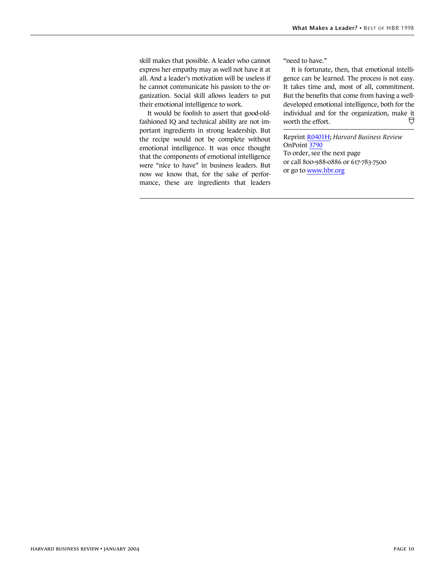skill makes that possible. A leader who cannot express her empathy may as well not have it at all. And a leader's motivation will be useless if he cannot communicate his passion to the organization. Social skill allows leaders to put their emotional intelligence to work.

It would be foolish to assert that good-oldfashioned IQ and technical ability are not important ingredients in strong leadership. But the recipe would not be complete without emotional intelligence. It was once thought that the components of emotional intelligence were "nice to have" in business leaders. But now we know that, for the sake of performance, these are ingredients that leaders

"need to have."

It is fortunate, then, that emotional intelligence can be learned. The process is not easy. It takes time and, most of all, commitment. But the benefits that come from having a welldeveloped emotional intelligence, both for the individual and for the organization, make it ₩ worth the effort.

Reprint [R0401H;](http://harvardbusinessonline.hbsp.harvard.edu/relay.jhtml?name=itemdetail&referral=4320&id=R0401H) *Harvard Business Review* OnPoint [3790](http://harvardbusinessonline.hbsp.harvard.edu/relay.jhtml?name=itemdetail&referral=4320&id=3790) To order, see the next page or call 800-988-0886 or 617-783-7500 or go to [www.hbr.org](http://www.hbr.org)